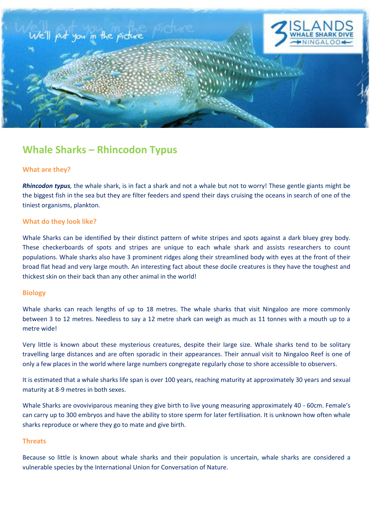

# **Whale Sharks – Rhincodon Typus**

# **What are they?**

*Rhincodon typus,* the whale shark, is in fact a shark and not a whale but not to worry! These gentle giants might be the biggest fish in the sea but they are filter feeders and spend their days cruising the oceans in search of one of the tiniest organisms, plankton.

## **What do they look like?**

Whale Sharks can be identified by their distinct pattern of white stripes and spots against a dark bluey grey body. These checkerboards of spots and stripes are unique to each whale shark and assists researchers to count populations. Whale sharks also have 3 prominent ridges along their streamlined body with eyes at the front of their broad flat head and very large mouth. An interesting fact about these docile creatures is they have the toughest and thickest skin on their back than any other animal in the world!

#### **Biology**

Whale sharks can reach lengths of up to 18 metres. The whale sharks that visit Ningaloo are more commonly between 3 to 12 metres. Needless to say a 12 metre shark can weigh as much as 11 tonnes with a mouth up to a metre wide!

Very little is known about these mysterious creatures, despite their large size. Whale sharks tend to be solitary travelling large distances and are often sporadic in their appearances. Their annual visit to Ningaloo Reef is one of only a few places in the world where large numbers congregate regularly chose to shore accessible to observers.

It is estimated that a whale sharks life span is over 100 years, reaching maturity at approximately 30 years and sexual maturity at 8-9 metres in both sexes.

Whale Sharks are ovoviviparous meaning they give birth to live young measuring approximately 40 - 60cm. Female's can carry up to 300 embryos and have the ability to store sperm for later fertilisation. It is unknown how often whale sharks reproduce or where they go to mate and give birth.

## **Threats**

Because so little is known about whale sharks and their population is uncertain, whale sharks are considered a vulnerable species by the International Union for Conversation of Nature.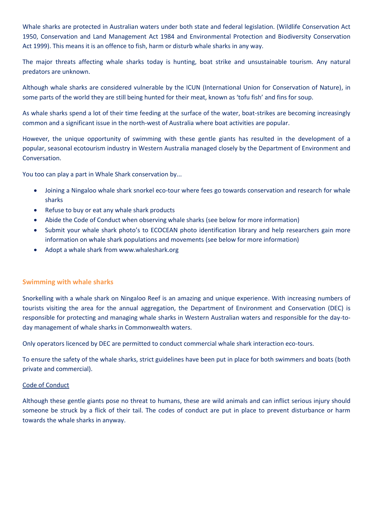Whale sharks are protected in Australian waters under both state and federal legislation. (Wildlife Conservation Act 1950, Conservation and Land Management Act 1984 and Environmental Protection and Biodiversity Conservation Act 1999). This means it is an offence to fish, harm or disturb whale sharks in any way.

The major threats affecting whale sharks today is hunting, boat strike and unsustainable tourism. Any natural predators are unknown.

Although whale sharks are considered vulnerable by the ICUN (International Union for Conservation of Nature), in some parts of the world they are still being hunted for their meat, known as 'tofu fish' and fins for soup.

As whale sharks spend a lot of their time feeding at the surface of the water, boat-strikes are becoming increasingly common and a significant issue in the north-west of Australia where boat activities are popular.

However, the unique opportunity of swimming with these gentle giants has resulted in the development of a popular, seasonal ecotourism industry in Western Australia managed closely by the Department of Environment and Conversation.

You too can play a part in Whale Shark conservation by...

- Joining a Ningaloo whale shark snorkel eco-tour where fees go towards conservation and research for whale sharks
- Refuse to buy or eat any whale shark products
- Abide the Code of Conduct when observing whale sharks (see below for more information)
- Submit your whale shark photo's to ECOCEAN photo identification library and help researchers gain more information on whale shark populations and movements (see below for more information)
- Adopt a whale shark from www.whaleshark.org

# **Swimming with whale sharks**

Snorkelling with a whale shark on Ningaloo Reef is an amazing and unique experience. With increasing numbers of tourists visiting the area for the annual aggregation, the Department of Environment and Conservation (DEC) is responsible for protecting and managing whale sharks in Western Australian waters and responsible for the day-today management of whale sharks in Commonwealth waters.

Only operators licenced by DEC are permitted to conduct commercial whale shark interaction eco-tours.

To ensure the safety of the whale sharks, strict guidelines have been put in place for both swimmers and boats (both private and commercial).

# Code of Conduct

Although these gentle giants pose no threat to humans, these are wild animals and can inflict serious injury should someone be struck by a flick of their tail. The codes of conduct are put in place to prevent disturbance or harm towards the whale sharks in anyway.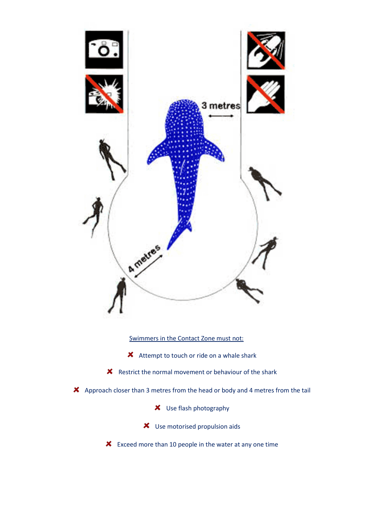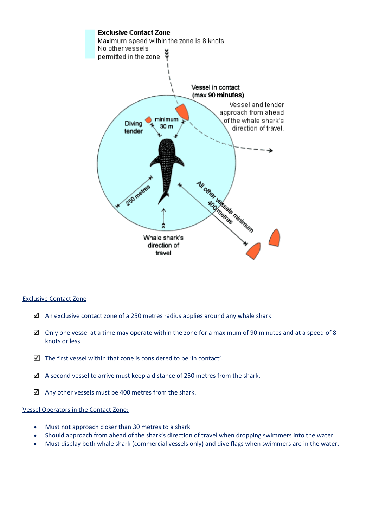

# Exclusive Contact Zone

- $\boxtimes$  An exclusive contact zone of a 250 metres radius applies around any whale shark.
- $\boxtimes$  Only one vessel at a time may operate within the zone for a maximum of 90 minutes and at a speed of 8 knots or less.
- $\Box$  The first vessel within that zone is considered to be 'in contact'.
- $\Box$  A second vessel to arrive must keep a distance of 250 metres from the shark.
- $\boxtimes$  Any other vessels must be 400 metres from the shark.

# Vessel Operators in the Contact Zone:

- Must not approach closer than 30 metres to a shark
- Should approach from ahead of the shark's direction of travel when dropping swimmers into the water
- Must display both whale shark (commercial vessels only) and dive flags when swimmers are in the water.